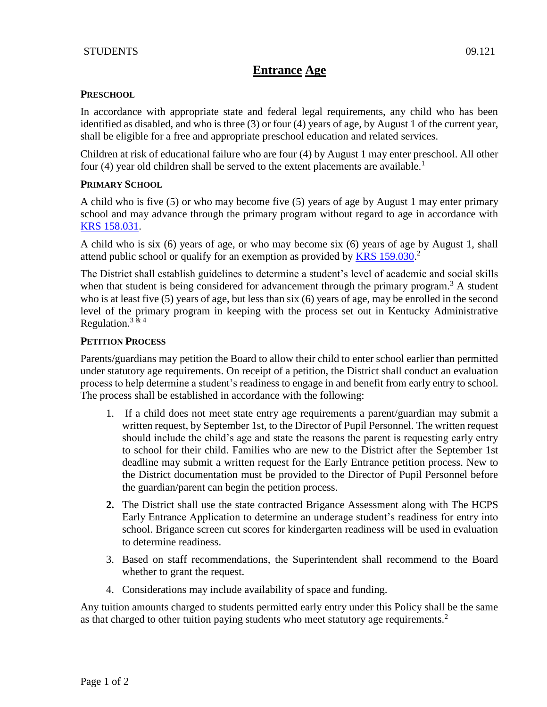# **Entrance Age**

## **PRESCHOOL**

In accordance with appropriate state and federal legal requirements, any child who has been identified as disabled, and who is three (3) or four (4) years of age, by August 1 of the current year, shall be eligible for a free and appropriate preschool education and related services.

Children at risk of educational failure who are four (4) by August 1 may enter preschool. All other four (4) year old children shall be served to the extent placements are available.<sup>1</sup>

## **PRIMARY SCHOOL**

A child who is five (5) or who may become five (5) years of age by August 1 may enter primary school and may advance through the primary program without regard to age in accordance with [KRS 158.031.](http://policy.ksba.org/DocumentManager.aspx?requestarticle=/KRS/158-00/031.pdf&requesttype=krs)

A child who is six (6) years of age, or who may become six (6) years of age by August 1, shall attend public school or qualify for an exemption as provided by **KRS** 159.030.<sup>2</sup>

The District shall establish guidelines to determine a student's level of academic and social skills when that student is being considered for advancement through the primary program.<sup>3</sup> A student who is at least five (5) years of age, but less than six (6) years of age, may be enrolled in the second level of the primary program in keeping with the process set out in Kentucky Administrative Regulation.<sup>3 & 4</sup>

## **PETITION PROCESS**

Parents/guardians may petition the Board to allow their child to enter school earlier than permitted under statutory age requirements. On receipt of a petition, the District shall conduct an evaluation process to help determine a student's readiness to engage in and benefit from early entry to school. The process shall be established in accordance with the following:

- 1. If a child does not meet state entry age requirements a parent/guardian may submit a written request, by September 1st, to the Director of Pupil Personnel. The written request should include the child's age and state the reasons the parent is requesting early entry to school for their child. Families who are new to the District after the September 1st deadline may submit a written request for the Early Entrance petition process. New to the District documentation must be provided to the Director of Pupil Personnel before the guardian/parent can begin the petition process.
- **2.** The District shall use the state contracted Brigance Assessment along with The HCPS Early Entrance Application to determine an underage student's readiness for entry into school. Brigance screen cut scores for kindergarten readiness will be used in evaluation to determine readiness.
- 3. Based on staff recommendations, the Superintendent shall recommend to the Board whether to grant the request.
- 4. Considerations may include availability of space and funding.

Any tuition amounts charged to students permitted early entry under this Policy shall be the same as that charged to other tuition paying students who meet statutory age requirements.<sup>2</sup>